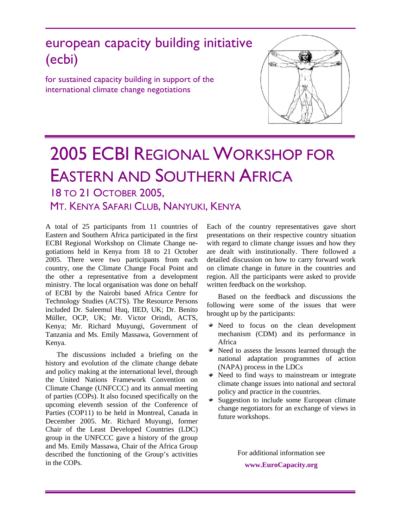## european capacity building initiative (ecbi)

for sustained capacity building in support of the international climate change negotiations



# 2005 ECBI REGIONAL WORKSHOP FOR EASTERN AND SOUTHERN AFRICA 18 TO 21 OCTOBER 2005,

### MT. KENYA SAFARI CLUB, NANYUKI, KENYA

A total of 25 participants from 11 countries of Eastern and Southern Africa participated in the first ECBI Regional Workshop on Climate Change negotiations held in Kenya from 18 to 21 October 2005. There were two participants from each country, one the Climate Change Focal Point and the other a representative from a development ministry. The local organisation was done on behalf of ECBI by the Nairobi based Africa Centre for Technology Studies (ACTS). The Resource Persons included Dr. Saleemul Huq, IIED, UK; Dr. Benito Müller, OCP, UK; Mr. Victor Orindi, ACTS, Kenya; Mr. Richard Muyungi, Government of Tanzania and Ms. Emily Massawa, Government of Kenya.

The discussions included a briefing on the history and evolution of the climate change debate and policy making at the international level, through the United Nations Framework Convention on Climate Change (UNFCCC) and its annual meeting of parties (COPs). It also focused specifically on the upcoming eleventh session of the Conference of Parties (COP11) to be held in Montreal, Canada in December 2005. Mr. Richard Muyungi, former Chair of the Least Developed Countries (LDC) group in the UNFCCC gave a history of the group and Ms. Emily Massawa, Chair of the Africa Group described the functioning of the Group's activities in the COPs.

Each of the country representatives gave short presentations on their respective country situation with regard to climate change issues and how they are dealt with institutionally. There followed a detailed discussion on how to carry forward work on climate change in future in the countries and region. All the participants were asked to provide written feedback on the workshop.

Based on the feedback and discussions the following were some of the issues that were brought up by the participants:

- Need to focus on the clean development mechanism (CDM) and its performance in Africa
- Need to assess the lessons learned through the national adaptation programmes of action (NAPA) process in the LDCs
- $\bullet$  Need to find ways to mainstream or integrate climate change issues into national and sectoral policy and practice in the countries.
- Suggestion to include some European climate change negotiators for an exchange of views in future workshops.

For additional information see **www.EuroCapacity.org**